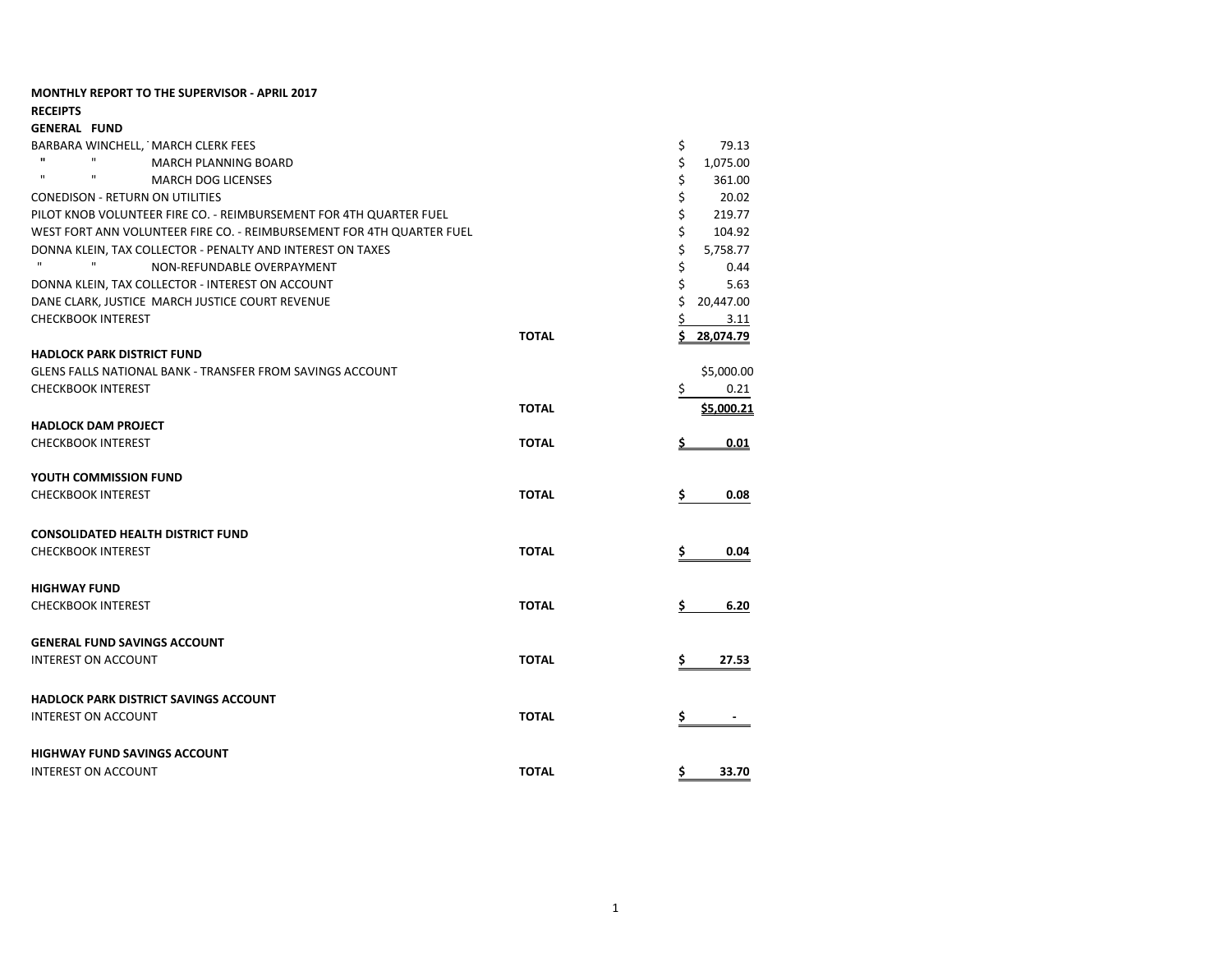| <b>MONTHLY REPORT TO THE SUPERVISOR - APRIL 2017</b><br><b>RECEIPTS</b> |              |                |
|-------------------------------------------------------------------------|--------------|----------------|
| <b>GENERAL FUND</b>                                                     |              |                |
| BARBARA WINCHELL, MARCH CLERK FEES                                      |              | \$<br>79.13    |
| $\mathbf{u}$<br>$\mathbf{H}$<br>MARCH PLANNING BOARD                    |              | \$<br>1,075.00 |
| $\mathbf{u}$<br>$\mathbf{H}$<br><b>MARCH DOG LICENSES</b>               |              | \$<br>361.00   |
| <b>CONEDISON - RETURN ON UTILITIES</b>                                  |              | \$<br>20.02    |
| PILOT KNOB VOLUNTEER FIRE CO. - REIMBURSEMENT FOR 4TH QUARTER FUEL      |              | \$<br>219.77   |
| WEST FORT ANN VOLUNTEER FIRE CO. - REIMBURSEMENT FOR 4TH QUARTER FUEL   |              | \$<br>104.92   |
| DONNA KLEIN, TAX COLLECTOR - PENALTY AND INTEREST ON TAXES              |              | \$<br>5,758.77 |
| $\mathbf{u}$<br>$\mathbf{H}$<br>NON-REFUNDABLE OVERPAYMENT              |              | \$<br>0.44     |
| DONNA KLEIN, TAX COLLECTOR - INTEREST ON ACCOUNT                        |              | \$<br>5.63     |
| DANE CLARK, JUSTICE MARCH JUSTICE COURT REVENUE                         |              | Ś<br>20,447.00 |
| <b>CHECKBOOK INTEREST</b>                                               |              | \$<br>3.11     |
|                                                                         | <b>TOTAL</b> | 28,074.79      |
| <b>HADLOCK PARK DISTRICT FUND</b>                                       |              |                |
| <b>GLENS FALLS NATIONAL BANK - TRANSFER FROM SAVINGS ACCOUNT</b>        |              | \$5,000.00     |
| <b>CHECKBOOK INTEREST</b>                                               |              | \$<br>0.21     |
|                                                                         | <b>TOTAL</b> | \$5,000.21     |
| <b>HADLOCK DAM PROJECT</b>                                              |              |                |
| <b>CHECKBOOK INTEREST</b>                                               | <b>TOTAL</b> | 0.01           |
| YOUTH COMMISSION FUND                                                   |              |                |
| <b>CHECKBOOK INTEREST</b>                                               | <b>TOTAL</b> | \$<br>0.08     |
|                                                                         |              |                |
| <b>CONSOLIDATED HEALTH DISTRICT FUND</b>                                |              |                |
| <b>CHECKBOOK INTEREST</b>                                               | <b>TOTAL</b> | \$<br>0.04     |
|                                                                         |              |                |
| <b>HIGHWAY FUND</b>                                                     |              |                |
| <b>CHECKBOOK INTEREST</b>                                               | <b>TOTAL</b> | 6.20<br>\$.    |
| <b>GENERAL FUND SAVINGS ACCOUNT</b>                                     |              |                |
| <b>INTEREST ON ACCOUNT</b>                                              | <b>TOTAL</b> | 27.53<br>\$    |
|                                                                         |              |                |
| <b>HADLOCK PARK DISTRICT SAVINGS ACCOUNT</b>                            |              |                |
| <b>INTEREST ON ACCOUNT</b>                                              | <b>TOTAL</b> |                |
|                                                                         |              |                |
| <b>HIGHWAY FUND SAVINGS ACCOUNT</b>                                     |              |                |
| <b>INTEREST ON ACCOUNT</b>                                              | <b>TOTAL</b> | \$<br>33.70    |
|                                                                         |              |                |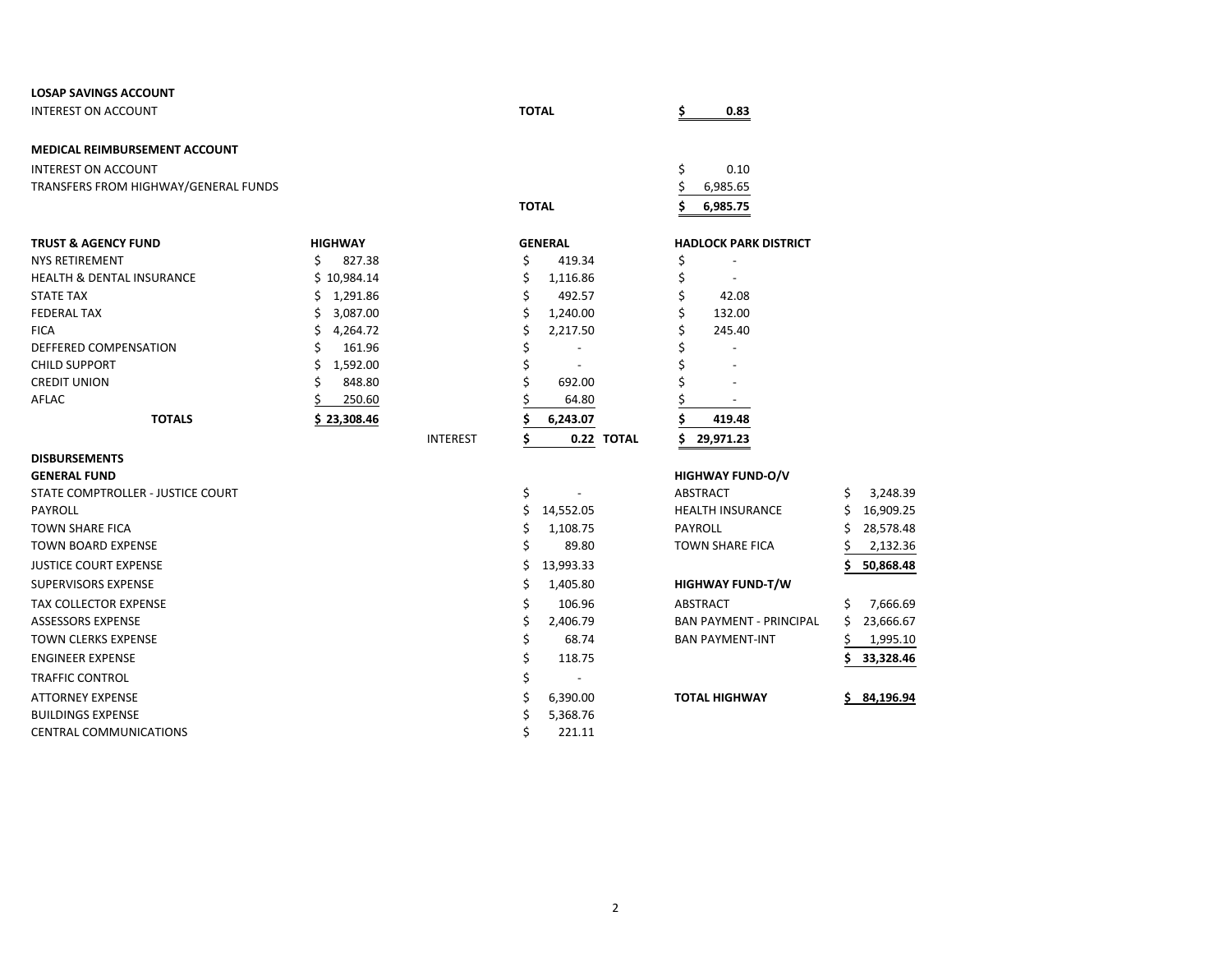| <b>LOSAP SAVINGS ACCOUNT</b>         |                |                 |              |                          |    |                                |    |           |
|--------------------------------------|----------------|-----------------|--------------|--------------------------|----|--------------------------------|----|-----------|
| <b>INTEREST ON ACCOUNT</b>           |                |                 | <b>TOTAL</b> |                          | Ś  | 0.83                           |    |           |
| MEDICAL REIMBURSEMENT ACCOUNT        |                |                 |              |                          |    |                                |    |           |
| <b>INTEREST ON ACCOUNT</b>           |                |                 |              |                          | \$ | 0.10                           |    |           |
| TRANSFERS FROM HIGHWAY/GENERAL FUNDS |                |                 |              |                          | \$ | 6,985.65                       |    |           |
|                                      |                |                 | <b>TOTAL</b> |                          | Ś  | 6,985.75                       |    |           |
| <b>TRUST &amp; AGENCY FUND</b>       | <b>HIGHWAY</b> |                 |              | <b>GENERAL</b>           |    | <b>HADLOCK PARK DISTRICT</b>   |    |           |
| <b>NYS RETIREMENT</b>                | \$<br>827.38   |                 | \$           | 419.34                   | \$ |                                |    |           |
| <b>HEALTH &amp; DENTAL INSURANCE</b> | \$10,984.14    |                 | \$           | 1,116.86                 | \$ |                                |    |           |
| <b>STATE TAX</b>                     | \$<br>1,291.86 |                 | \$           | 492.57                   | \$ | 42.08                          |    |           |
| <b>FEDERAL TAX</b>                   | 3,087.00<br>S  |                 | \$           | 1,240.00                 | \$ | 132.00                         |    |           |
| <b>FICA</b>                          | Ś<br>4,264.72  |                 |              | 2,217.50                 |    | 245.40                         |    |           |
| DEFFERED COMPENSATION                | 161.96         |                 |              |                          |    |                                |    |           |
| <b>CHILD SUPPORT</b>                 | Ś<br>1,592.00  |                 | \$           |                          |    |                                |    |           |
| <b>CREDIT UNION</b>                  | 848.80         |                 | Ś            | 692.00                   |    |                                |    |           |
| AFLAC                                | 250.60         |                 |              | 64.80                    |    |                                |    |           |
| <b>TOTALS</b>                        | \$23,308.46    |                 |              | 6,243.07                 | Ś  | 419.48                         |    |           |
|                                      |                | <b>INTEREST</b> | Ś            | 0.22 TOTAL               | Ś  | 29,971.23                      |    |           |
| <b>DISBURSEMENTS</b>                 |                |                 |              |                          |    |                                |    |           |
| <b>GENERAL FUND</b>                  |                |                 |              |                          |    | <b>HIGHWAY FUND-O/V</b>        |    |           |
| STATE COMPTROLLER - JUSTICE COURT    |                |                 | \$           |                          |    | ABSTRACT                       | S  | 3,248.39  |
| <b>PAYROLL</b>                       |                |                 | \$           | 14,552.05                |    | <b>HEALTH INSURANCE</b>        | \$ | 16,909.25 |
| <b>TOWN SHARE FICA</b>               |                |                 | \$           | 1,108.75                 |    | PAYROLL                        |    | 28,578.48 |
| <b>TOWN BOARD EXPENSE</b>            |                |                 | \$           | 89.80                    |    | <b>TOWN SHARE FICA</b>         |    | 2,132.36  |
| <b>JUSTICE COURT EXPENSE</b>         |                |                 | Ś            | 13,993.33                |    |                                |    | 50,868.48 |
| <b>SUPERVISORS EXPENSE</b>           |                |                 | \$           | 1,405.80                 |    | <b>HIGHWAY FUND-T/W</b>        |    |           |
| <b>TAX COLLECTOR EXPENSE</b>         |                |                 | \$           | 106.96                   |    | ABSTRACT                       | S  | 7,666.69  |
| <b>ASSESSORS EXPENSE</b>             |                |                 | \$           | 2,406.79                 |    | <b>BAN PAYMENT - PRINCIPAL</b> | \$ | 23,666.67 |
| <b>TOWN CLERKS EXPENSE</b>           |                |                 | \$           | 68.74                    |    | <b>BAN PAYMENT-INT</b>         |    | 1,995.10  |
| <b>ENGINEER EXPENSE</b>              |                |                 | \$           | 118.75                   |    |                                | Ś  | 33,328.46 |
| <b>TRAFFIC CONTROL</b>               |                |                 | \$           | $\overline{\phantom{a}}$ |    |                                |    |           |
| <b>ATTORNEY EXPENSE</b>              |                |                 |              | 6,390.00                 |    | <b>TOTAL HIGHWAY</b>           |    | 84,196.94 |
| <b>BUILDINGS EXPENSE</b>             |                |                 |              | 5,368.76                 |    |                                |    |           |
| <b>CENTRAL COMMUNICATIONS</b>        |                |                 | Ś            | 221.11                   |    |                                |    |           |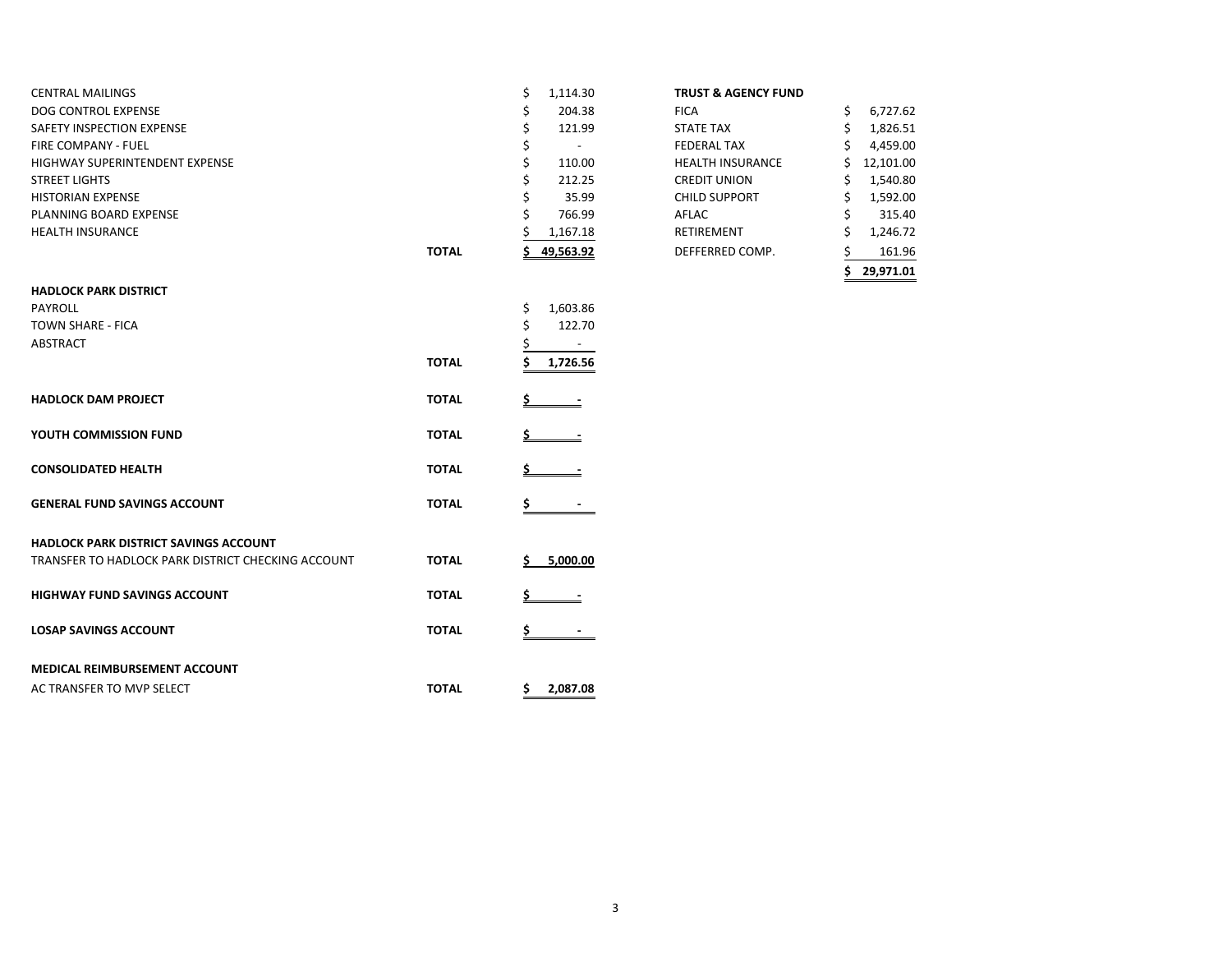| <b>CENTRAL MAILINGS</b>        |              | 1,114.30  | <b>TRUST &amp; AGENCY FUND</b> |           |
|--------------------------------|--------------|-----------|--------------------------------|-----------|
| DOG CONTROL EXPENSE            |              | 204.38    | <b>FICA</b>                    | 6,727.62  |
| SAFETY INSPECTION EXPENSE      |              | 121.99    | <b>STATE TAX</b>               | 1,826.51  |
| <b>FIRE COMPANY - FUEL</b>     |              |           | <b>FEDERAL TAX</b>             | 4,459.00  |
| HIGHWAY SUPERINTENDENT EXPENSE |              | 110.00    | <b>HEALTH INSURANCE</b>        | 12,101.00 |
| <b>STREET LIGHTS</b>           |              | 212.25    | <b>CREDIT UNION</b>            | 1,540.80  |
| <b>HISTORIAN EXPENSE</b>       |              | 35.99     | <b>CHILD SUPPORT</b>           | 1,592.00  |
| PLANNING BOARD EXPENSE         |              | 766.99    | AFLAC                          | 315.40    |
| <b>HEALTH INSURANCE</b>        |              | 1,167.18  | RETIREMENT                     | 1,246.72  |
|                                | <b>TOTAL</b> | 49,563.92 | DEFFERRED COMP.                | 161.96    |

| <b>TRUST &amp; AGENCY FUND</b> |    |           |
|--------------------------------|----|-----------|
| FICA                           | \$ | 6,727.62  |
| STATF TAX                      | \$ | 1,826.51  |
| <b>FEDERAL TAX</b>             | Ś  | 4,459.00  |
| <b>HEALTH INSURANCE</b>        | Ś  | 12,101.00 |
| <b>CREDIT UNION</b>            | \$ | 1,540.80  |
| <b>CHILD SUPPORT</b>           | Ś  | 1,592.00  |
| AFLAC                          | \$ | 315.40    |
| RFTIRFMFNT                     | Ś  | 1,246.72  |
| DEFFERRED COMP.                | \$ | 161.96    |
|                                |    | 29.971.01 |

| <b>HADLOCK PARK DISTRICT</b>                       |              |                |
|----------------------------------------------------|--------------|----------------|
| PAYROLL                                            |              | \$<br>1,603.86 |
| <b>TOWN SHARE - FICA</b>                           |              | \$<br>122.70   |
| <b>ABSTRACT</b>                                    |              | \$             |
|                                                    | <b>TOTAL</b> | \$<br>1,726.56 |
| <b>HADLOCK DAM PROJECT</b>                         | <b>TOTAL</b> | Ś              |
| YOUTH COMMISSION FUND                              | <b>TOTAL</b> | Ś              |
| <b>CONSOLIDATED HEALTH</b>                         | <b>TOTAL</b> |                |
| <b>GENERAL FUND SAVINGS ACCOUNT</b>                | <b>TOTAL</b> | \$             |
| <b>HADLOCK PARK DISTRICT SAVINGS ACCOUNT</b>       |              |                |
| TRANSFER TO HADLOCK PARK DISTRICT CHECKING ACCOUNT | <b>TOTAL</b> | Ś<br>5,000.00  |
| <b>HIGHWAY FUND SAVINGS ACCOUNT</b>                | <b>TOTAL</b> | Ś              |
| <b>LOSAP SAVINGS ACCOUNT</b>                       | <b>TOTAL</b> | \$             |
| <b>MEDICAL REIMBURSEMENT ACCOUNT</b>               |              |                |
| AC TRANSFER TO MVP SELECT                          | <b>TOTAL</b> | \$<br>2,087.08 |